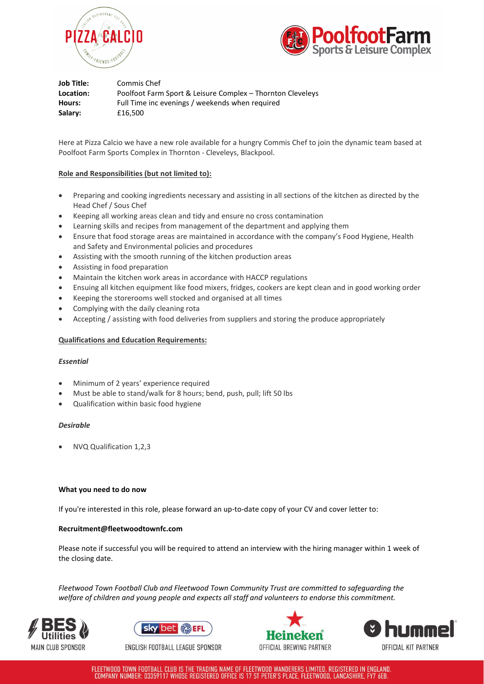



**Job Title:** Commis Chef **Location:** Poolfoot Farm Sport & Leisure Complex – Thornton Cleveleys **Hours:** Full Time inc evenings / weekends when required **Salary:** £16,500

Here at Pizza Calcio we have a new role available for a hungry Commis Chef to join the dynamic team based at Poolfoot Farm Sports Complex in Thornton - Cleveleys, Blackpool.

# **Role and Responsibilities (but not limited to):**

- Preparing and cooking ingredients necessary and assisting in all sections of the kitchen as directed by the Head Chef / Sous Chef
- Keeping all working areas clean and tidy and ensure no cross contamination
- Learning skills and recipes from management of the department and applying them
- Ensure that food storage areas are maintained in accordance with the company's Food Hygiene, Health and Safety and Environmental policies and procedures
- Assisting with the smooth running of the kitchen production areas
- Assisting in food preparation
- Maintain the kitchen work areas in accordance with HACCP regulations
- Ensuing all kitchen equipment like food mixers, fridges, cookers are kept clean and in good working order
- Keeping the storerooms well stocked and organised at all times
- Complying with the daily cleaning rota
- Accepting / assisting with food deliveries from suppliers and storing the produce appropriately

## **Qualifications and Education Requirements:**

## *Essential*

- Minimum of 2 years' experience required
- Must be able to stand/walk for 8 hours; bend, push, pull; lift 50 lbs
- Qualification within basic food hygiene

## *Desirable*

• NVQ Qualification 1,2,3

## **What you need to do now**

If you're interested in this role, please forward an up-to-date copy of your CV and cover letter to:

## **Recruitment@fleetwoodtownfc.com**

Please note if successful you will be required to attend an interview with the hiring manager within 1 week of the closing date.

*Fleetwood Town Football Club and Fleetwood Town Community Trust are committed to safeguarding the welfare of children and young people and expects all staff and volunteers to endorse this commitment.*





ENGLISH FOOTBALL LEAGUE SPONSOR





FLEETWOOD TOWN FOOTBALL CLUB IS THE TRADING NAME OF FLEETWOOD WANDERERS LIMITED, REGISTERED IN ENGLAND. COMPANY NUMBER: 03359117 WHOSE REGISTERED OFFICE IS 17 ST PETER'S PLACE, FLEETWOOD, LANCASHIRE, FY7 6EB.